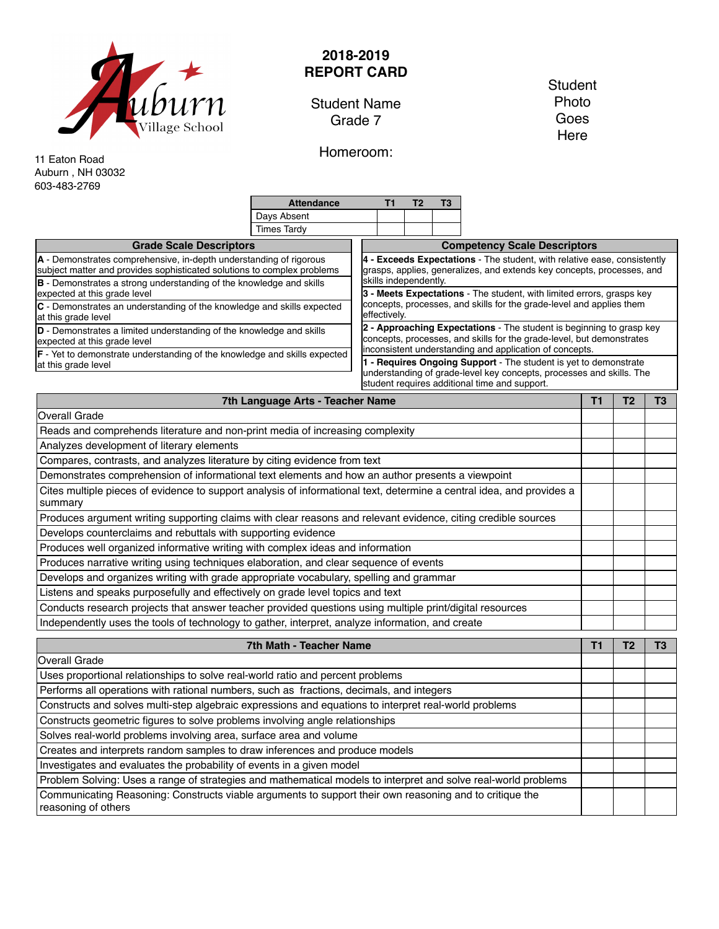

## **2018-2019 REPORT CARD**

Student Name Grade 7

**Student** Photo Goes Here

Homeroom:

11 Eaton Road Auburn , NH 03032 603-483-2769

|                                                                                                                                                                                                                             | <b>Attendance</b>                                                                                                                                                                                      |  | п                                                                                                                                                                                       | Т2                                                                                                                                                                          | T3 |  |  |  |  |
|-----------------------------------------------------------------------------------------------------------------------------------------------------------------------------------------------------------------------------|--------------------------------------------------------------------------------------------------------------------------------------------------------------------------------------------------------|--|-----------------------------------------------------------------------------------------------------------------------------------------------------------------------------------------|-----------------------------------------------------------------------------------------------------------------------------------------------------------------------------|----|--|--|--|--|
|                                                                                                                                                                                                                             | Days Absent                                                                                                                                                                                            |  |                                                                                                                                                                                         |                                                                                                                                                                             |    |  |  |  |  |
|                                                                                                                                                                                                                             | <b>Times Tardv</b>                                                                                                                                                                                     |  |                                                                                                                                                                                         |                                                                                                                                                                             |    |  |  |  |  |
| <b>Grade Scale Descriptors</b>                                                                                                                                                                                              |                                                                                                                                                                                                        |  | <b>Competency Scale Descriptors</b>                                                                                                                                                     |                                                                                                                                                                             |    |  |  |  |  |
| A - Demonstrates comprehensive, in-depth understanding of rigorous<br>subject matter and provides sophisticated solutions to complex problems<br><b>B</b> - Demonstrates a strong understanding of the knowledge and skills |                                                                                                                                                                                                        |  |                                                                                                                                                                                         | 4 - Exceeds Expectations - The student, with relative ease, consistently<br>grasps, applies, generalizes, and extends key concepts, processes, and<br>skills independently. |    |  |  |  |  |
| expected at this grade level                                                                                                                                                                                                | 3 - Meets Expectations - The student, with limited errors, grasps key<br>concepts, processes, and skills for the grade-level and applies them<br>effectively.                                          |  |                                                                                                                                                                                         |                                                                                                                                                                             |    |  |  |  |  |
| C - Demonstrates an understanding of the knowledge and skills expected<br>at this grade level                                                                                                                               |                                                                                                                                                                                                        |  |                                                                                                                                                                                         |                                                                                                                                                                             |    |  |  |  |  |
| D - Demonstrates a limited understanding of the knowledge and skills<br>expected at this grade level                                                                                                                        | 2 - Approaching Expectations The student is beginning to grasp key<br>concepts, processes, and skills for the grade-level, but demonstrates<br>inconsistent understanding and application of concepts. |  |                                                                                                                                                                                         |                                                                                                                                                                             |    |  |  |  |  |
| <b>F</b> - Yet to demonstrate understanding of the knowledge and skills expected<br>at this grade level                                                                                                                     |                                                                                                                                                                                                        |  | - Requires Ongoing Support - The student is yet to demonstrate<br>understanding of grade-level key concepts, processes and skills. The<br>student requires additional time and support. |                                                                                                                                                                             |    |  |  |  |  |

| 7th Language Arts - Teacher Name                                                                                                 | Τ1 |  |  |  |
|----------------------------------------------------------------------------------------------------------------------------------|----|--|--|--|
| <b>Overall Grade</b>                                                                                                             |    |  |  |  |
| Reads and comprehends literature and non-print media of increasing complexity                                                    |    |  |  |  |
| Analyzes development of literary elements                                                                                        |    |  |  |  |
| Compares, contrasts, and analyzes literature by citing evidence from text                                                        |    |  |  |  |
| Demonstrates comprehension of informational text elements and how an author presents a viewpoint                                 |    |  |  |  |
| Cites multiple pieces of evidence to support analysis of informational text, determine a central idea, and provides a<br>summary |    |  |  |  |
| Produces argument writing supporting claims with clear reasons and relevant evidence, citing credible sources                    |    |  |  |  |
| Develops counterclaims and rebuttals with supporting evidence                                                                    |    |  |  |  |
| Produces well organized informative writing with complex ideas and information                                                   |    |  |  |  |
| Produces narrative writing using techniques elaboration, and clear sequence of events                                            |    |  |  |  |
| Develops and organizes writing with grade appropriate vocabulary, spelling and grammar                                           |    |  |  |  |
| Listens and speaks purposefully and effectively on grade level topics and text                                                   |    |  |  |  |
| Conducts research projects that answer teacher provided questions using multiple print/digital resources                         |    |  |  |  |
| Independently uses the tools of technology to gather, interpret, analyze information, and create                                 |    |  |  |  |

| 7th Math - Teacher Name                                                                                                        |  |  |  |  |  |
|--------------------------------------------------------------------------------------------------------------------------------|--|--|--|--|--|
| Overall Grade                                                                                                                  |  |  |  |  |  |
| Uses proportional relationships to solve real-world ratio and percent problems                                                 |  |  |  |  |  |
| Performs all operations with rational numbers, such as fractions, decimals, and integers                                       |  |  |  |  |  |
| Constructs and solves multi-step algebraic expressions and equations to interpret real-world problems                          |  |  |  |  |  |
| Constructs geometric figures to solve problems involving angle relationships                                                   |  |  |  |  |  |
| Solves real-world problems involving area, surface area and volume                                                             |  |  |  |  |  |
| Creates and interprets random samples to draw inferences and produce models                                                    |  |  |  |  |  |
| Investigates and evaluates the probability of events in a given model                                                          |  |  |  |  |  |
| Problem Solving: Uses a range of strategies and mathematical models to interpret and solve real-world problems                 |  |  |  |  |  |
| Communicating Reasoning: Constructs viable arguments to support their own reasoning and to critique the<br>reasoning of others |  |  |  |  |  |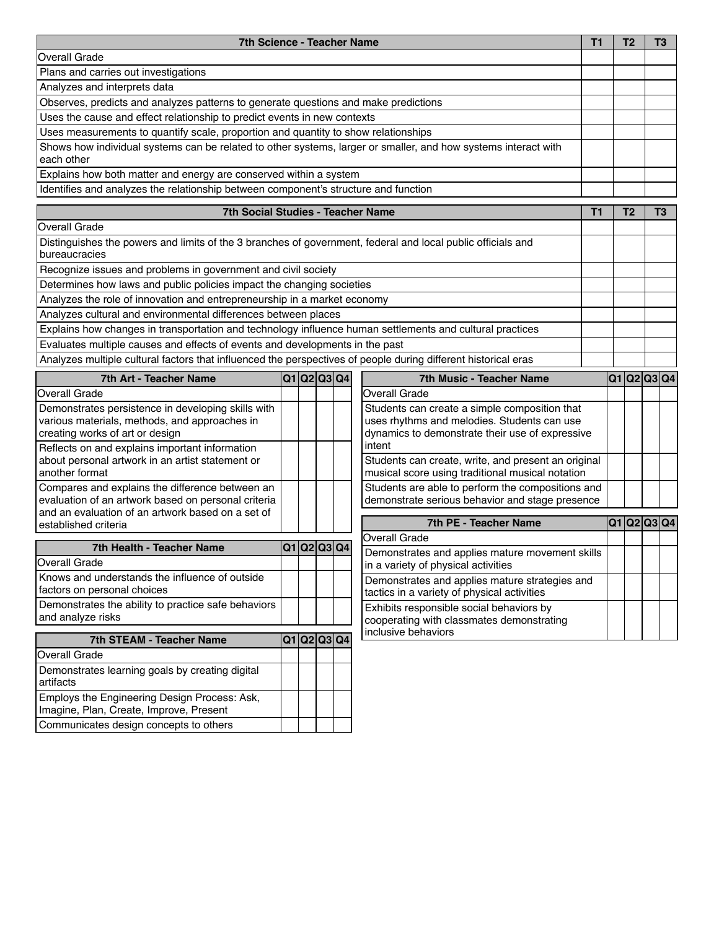| 7th Science - Teacher Name<br>T1                                                                                                       |             |  |  |  |                                                                                                                                                 | T <sub>2</sub> | T <sub>3</sub> |
|----------------------------------------------------------------------------------------------------------------------------------------|-------------|--|--|--|-------------------------------------------------------------------------------------------------------------------------------------------------|----------------|----------------|
| <b>Overall Grade</b>                                                                                                                   |             |  |  |  |                                                                                                                                                 |                |                |
| Plans and carries out investigations                                                                                                   |             |  |  |  |                                                                                                                                                 |                |                |
| Analyzes and interprets data                                                                                                           |             |  |  |  |                                                                                                                                                 |                |                |
| Observes, predicts and analyzes patterns to generate questions and make predictions                                                    |             |  |  |  |                                                                                                                                                 |                |                |
| Uses the cause and effect relationship to predict events in new contexts                                                               |             |  |  |  |                                                                                                                                                 |                |                |
| Uses measurements to quantify scale, proportion and quantity to show relationships                                                     |             |  |  |  |                                                                                                                                                 |                |                |
| Shows how individual systems can be related to other systems, larger or smaller, and how systems interact with<br>each other           |             |  |  |  |                                                                                                                                                 |                |                |
| Explains how both matter and energy are conserved within a system                                                                      |             |  |  |  |                                                                                                                                                 |                |                |
| Identifies and analyzes the relationship between component's structure and function                                                    |             |  |  |  |                                                                                                                                                 |                |                |
| <b>7th Social Studies - Teacher Name</b>                                                                                               |             |  |  |  | T1                                                                                                                                              | T <sub>2</sub> | T3             |
| <b>Overall Grade</b>                                                                                                                   |             |  |  |  |                                                                                                                                                 |                |                |
| Distinguishes the powers and limits of the 3 branches of government, federal and local public officials and<br>bureaucracies           |             |  |  |  |                                                                                                                                                 |                |                |
| Recognize issues and problems in government and civil society                                                                          |             |  |  |  |                                                                                                                                                 |                |                |
| Determines how laws and public policies impact the changing societies                                                                  |             |  |  |  |                                                                                                                                                 |                |                |
| Analyzes the role of innovation and entrepreneurship in a market economy                                                               |             |  |  |  |                                                                                                                                                 |                |                |
| Analyzes cultural and environmental differences between places                                                                         |             |  |  |  |                                                                                                                                                 |                |                |
| Explains how changes in transportation and technology influence human settlements and cultural practices                               |             |  |  |  |                                                                                                                                                 |                |                |
| Evaluates multiple causes and effects of events and developments in the past                                                           |             |  |  |  |                                                                                                                                                 |                |                |
| Analyzes multiple cultural factors that influenced the perspectives of people during different historical eras                         |             |  |  |  |                                                                                                                                                 |                |                |
| 7th Art - Teacher Name                                                                                                                 | Q1 Q2 Q3 Q4 |  |  |  | <b>7th Music - Teacher Name</b>                                                                                                                 | Q1 Q2 Q3 Q4    |                |
| <b>Overall Grade</b>                                                                                                                   |             |  |  |  | <b>Overall Grade</b>                                                                                                                            |                |                |
| Demonstrates persistence in developing skills with<br>various materials, methods, and approaches in<br>creating works of art or design |             |  |  |  | Students can create a simple composition that<br>uses rhythms and melodies. Students can use<br>dynamics to demonstrate their use of expressive |                |                |
| Reflects on and explains important information<br>about personal artwork in an artist statement or<br>another format                   |             |  |  |  | intent<br>Students can create, write, and present an original<br>musical score using traditional musical notation                               |                |                |
| Compares and explains the difference between an<br>evaluation of an artwork based on personal criteria                                 |             |  |  |  | Students are able to perform the compositions and<br>demonstrate serious behavior and stage presence                                            |                |                |
| and an evaluation of an artwork based on a set of<br>established criteria                                                              |             |  |  |  | 7th PE - Teacher Name                                                                                                                           | Q1 Q2 Q3 Q4    |                |
|                                                                                                                                        |             |  |  |  | Overall Grade                                                                                                                                   |                |                |
| 7th Health - Teacher Name<br><b>Overall Grade</b>                                                                                      | Q1 Q2 Q3 Q4 |  |  |  | Demonstrates and applies mature movement skills<br>in a variety of physical activities                                                          |                |                |
| Knows and understands the influence of outside<br>factors on personal choices                                                          |             |  |  |  | Demonstrates and applies mature strategies and<br>tactics in a variety of physical activities                                                   |                |                |
| Demonstrates the ability to practice safe behaviors<br>and analyze risks                                                               |             |  |  |  | Exhibits responsible social behaviors by<br>cooperating with classmates demonstrating                                                           |                |                |
| 7th STEAM - Teacher Name                                                                                                               | Q1 Q2 Q3 Q4 |  |  |  | inclusive behaviors                                                                                                                             |                |                |
| <b>Overall Grade</b>                                                                                                                   |             |  |  |  |                                                                                                                                                 |                |                |
| Demonstrates learning goals by creating digital<br>artifacts                                                                           |             |  |  |  |                                                                                                                                                 |                |                |
| Employs the Engineering Design Process: Ask,<br>Imagine, Plan, Create, Improve, Present                                                |             |  |  |  |                                                                                                                                                 |                |                |
| Communicates design concepts to others                                                                                                 |             |  |  |  |                                                                                                                                                 |                |                |